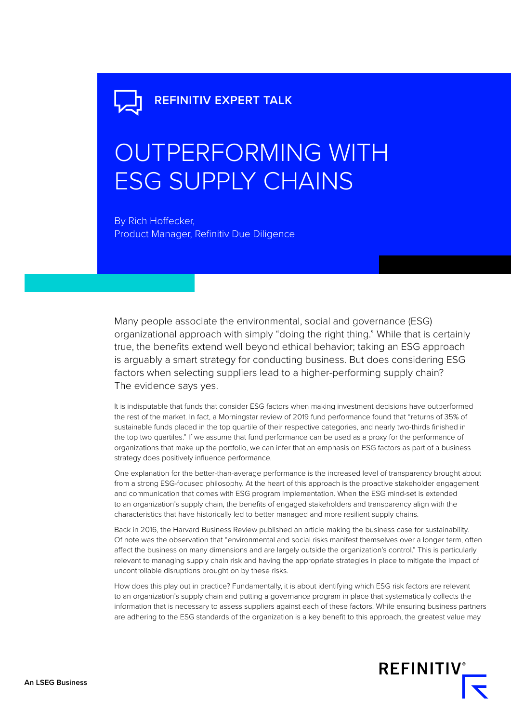## OUTPERFORMING WITH ESG SUPPLY CHAINS

By Rich Hoffecker, Product Manager, Refinitiv Due Diligence

Many people associate the environmental, social and governance (ESG) organizational approach with simply "doing the right thing." While that is certainly true, the benefits extend well beyond ethical behavior; taking an ESG approach is arguably a smart strategy for conducting business. But does considering ESG factors when selecting suppliers lead to a higher-performing supply chain? The evidence says yes.

It is indisputable that funds that consider ESG factors when making investment decisions have outperformed the rest of the market. In fact, a Morningstar review of 2019 fund performance found that "returns of 35% of sustainable funds placed in the top quartile of their respective categories, and nearly two-thirds finished in the top two quartiles." If we assume that fund performance can be used as a proxy for the performance of organizations that make up the portfolio, we can infer that an emphasis on ESG factors as part of a business strategy does positively influence performance.

One explanation for the better-than-average performance is the increased level of transparency brought about from a strong ESG-focused philosophy. At the heart of this approach is the proactive stakeholder engagement and communication that comes with ESG program implementation. When the ESG mind-set is extended to an organization's supply chain, the benefits of engaged stakeholders and transparency align with the characteristics that have historically led to better managed and more resilient supply chains.

Back in 2016, the Harvard Business Review published an article making the business case for sustainability. Of note was the observation that "environmental and social risks manifest themselves over a longer term, often affect the business on many dimensions and are largely outside the organization's control." This is particularly relevant to managing supply chain risk and having the appropriate strategies in place to mitigate the impact of uncontrollable disruptions brought on by these risks.

How does this play out in practice? Fundamentally, it is about identifying which ESG risk factors are relevant to an organization's supply chain and putting a governance program in place that systematically collects the information that is necessary to assess suppliers against each of these factors. While ensuring business partners are adhering to the ESG standards of the organization is a key benefit to this approach, the greatest value may